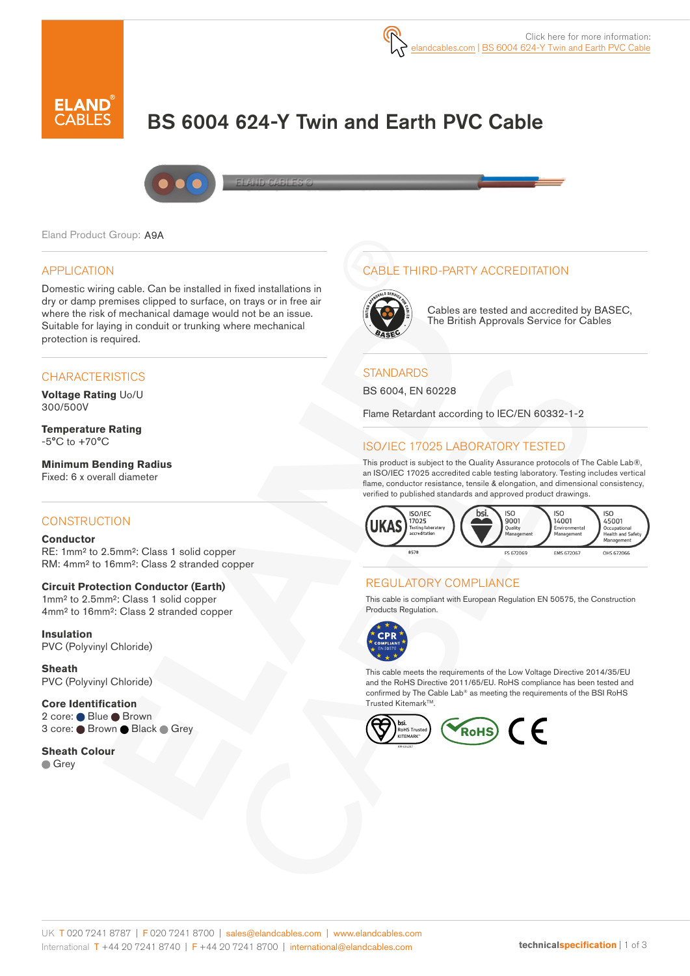

# BS 6004 624-Y Twin and Earth PVC Cable



#### Eland Product Group: A9A

#### APPLICATION

Domestic wiring cable. Can be installed in fixed installations in dry or damp premises clipped to surface, on trays or in free air where the risk of mechanical damage would not be an issue. Suitable for laying in conduit or trunking where mechanical protection is required.

### **CHARACTERISTICS**

**Voltage Rating** Uo/U 300/500V

**Temperature Rating** -5°C to +70°C

**Minimum Bending Radius**  Fixed: 6 x overall diameter

#### **CONSTRUCTION**

#### **Conductor**

RE: 1mm² to 2.5mm²: Class 1 solid copper RM: 4mm² to 16mm²: Class 2 stranded copper

#### **Circuit Protection Conductor (Earth)**

1mm<sup>2</sup> to 2.5mm<sup>2</sup>: Class 1 solid copper 4mm² to 16mm²: Class 2 stranded copper

**Insulation** PVC (Polyvinyl Chloride)

**Sheath** PVC (Polyvinyl Chloride)

**Core Identification** 2 core: ● Blue ● Brown 3 core: ● Brown ● Black ● Grey

**Sheath Colour Grey** 

## CABLE THIRD-PARTY ACCREDITATION



Cables are tested and accredited by BASEC, The British Approvals Service for Cables

#### **STANDARDS**

BS 6004, EN 60228

Flame Retardant according to IEC/EN 60332-1-2

## ISO/IEC 17025 LABORATORY TESTED

This product is subject to the Quality Assurance protocols of The Cable Lab®, an ISO/IEC 17025 accredited cable testing laboratory. Testing includes vertical flame, conductor resistance, tensile & elongation, and dimensional consistency, verified to published standards and approved product drawings.



### REGULATORY COMPLIANCE

This cable is compliant with European Regulation EN 50575, the Construction Products Regulation.



This cable meets the requirements of the Low Voltage Directive 2014/35/EU and the RoHS Directive 2011/65/EU. RoHS compliance has been tested and confirmed by The Cable Lab® as meeting the requirements of the BSI RoHS Trusted Kitemark™.

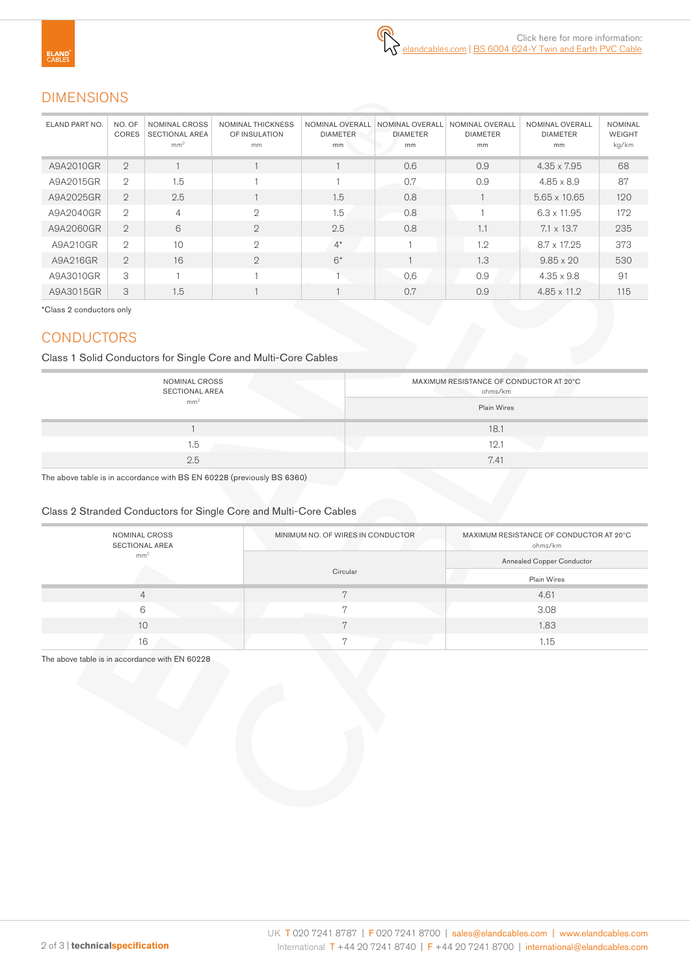# DIMENSIONS

| ELAND PART NO. | NO. OF<br><b>CORES</b> | <b>NOMINAL CROSS</b><br><b>SECTIONAL AREA</b><br>mm <sup>2</sup> | <b>NOMINAL THICKNESS</b><br>OF INSULATION<br>mm | <b>NOMINAL OVERALL</b><br><b>DIAMETER</b><br>mm | NOMINAL OVERALL<br><b>DIAMETER</b><br>mm | NOMINAL OVERALL<br><b>DIAMETER</b><br>mm | NOMINAL OVERALL<br><b>DIAMETER</b><br>mm | <b>NOMINAL</b><br><b>WEIGHT</b><br>kg/km |
|----------------|------------------------|------------------------------------------------------------------|-------------------------------------------------|-------------------------------------------------|------------------------------------------|------------------------------------------|------------------------------------------|------------------------------------------|
| A9A2010GR      | $\overline{2}$         |                                                                  |                                                 |                                                 | 0.6                                      | 0.9                                      | $4.35 \times 7.95$                       | 68                                       |
| A9A2015GR      | $\overline{2}$         | 1.5                                                              |                                                 |                                                 | 0.7                                      | 0.9                                      | $4.85 \times 8.9$                        | 87                                       |
| A9A2025GR      | $\overline{2}$         | 2.5                                                              |                                                 | 1.5                                             | 0.8                                      |                                          | $5.65 \times 10.65$                      | 120                                      |
| A9A2040GR      | $\overline{2}$         | $\overline{4}$                                                   | $\mathfrak{D}$                                  | 1.5                                             | 0.8                                      |                                          | $6.3 \times 11.95$                       | 172                                      |
| A9A2060GR      | $\overline{2}$         | 6                                                                | $\mathbf{2}$                                    | 2.5                                             | 0.8                                      | 1.1                                      | $7.1 \times 13.7$                        | 235                                      |
| A9A210GR       | $\overline{2}$         | 10                                                               | $\mathfrak{D}$                                  | $4^*$                                           |                                          | 1.2                                      | $8.7 \times 17.25$                       | 373                                      |
| A9A216GR       | $\overline{2}$         | 16                                                               | $\mathbf{2}$                                    | $6*$                                            |                                          | 1.3                                      | $9.85 \times 20$                         | 530                                      |
| A9A3010GR      | 3                      |                                                                  |                                                 |                                                 | 0,6                                      | 0.9                                      | $4.35 \times 9.8$                        | 91                                       |
| A9A3015GR      | 3                      | 1.5                                                              |                                                 |                                                 | 0.7                                      | 0.9                                      | $4.85 \times 11.2$                       | 115                                      |

\*Class 2 conductors only

# **CONDUCTORS**

Class 1 Solid Conductors for Single Core and Multi-Core Cables

| NOMINAL CROSS<br><b>SECTIONAL AREA</b><br>mm <sup>2</sup> | MAXIMUM RESISTANCE OF CONDUCTOR AT 20°C<br>ohms/km<br><b>Plain Wires</b> |
|-----------------------------------------------------------|--------------------------------------------------------------------------|
|                                                           | 18.                                                                      |
| 1.5                                                       | 12.1                                                                     |
| 2.5                                                       | 7.41                                                                     |

The above table is in accordance with BS EN 60228 (previously BS 6360)

### Class 2 Stranded Conductors for Single Core and Multi-Core Cables

| NOMINAL CROSS<br>SECTIONAL AREA | MINIMUM NO. OF WIRES IN CONDUCTOR | MAXIMUM RESISTANCE OF CONDUCTOR AT 20°C<br>ohms/km |  |
|---------------------------------|-----------------------------------|----------------------------------------------------|--|
| mm <sup>2</sup>                 |                                   | <b>Annealed Copper Conductor</b>                   |  |
|                                 | Circular                          | Plain Wires                                        |  |
| 4                               | π                                 | 4.61                                               |  |
| 6                               |                                   | 3.08                                               |  |
| 10                              |                                   | 1.83                                               |  |
| 16                              |                                   | 1.15                                               |  |

The above table is in accordance with EN 60228